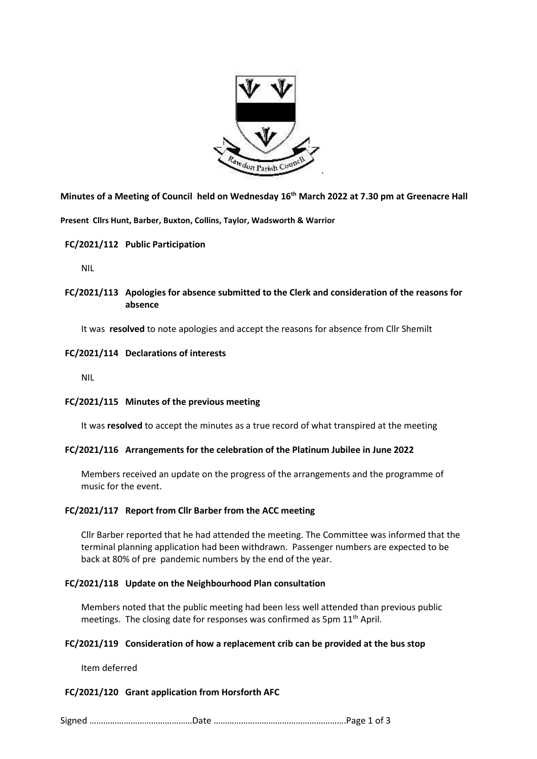

**Minutes of a Meeting of Council held on Wednesday 16th March 2022 at 7.30 pm at Greenacre Hall**

**Present Cllrs Hunt, Barber, Buxton, Collins, Taylor, Wadsworth & Warrior**

## **FC/2021/112 Public Participation**

NIL

## **FC/2021/113 Apologies for absence submitted to the Clerk and consideration of the reasons for absence**

It was **resolved** to note apologies and accept the reasons for absence from Cllr Shemilt

## **FC/2021/114 Declarations of interests**

NIL

## **FC/2021/115 Minutes of the previous meeting**

It was **resolved** to accept the minutes as a true record of what transpired at the meeting

## **FC/2021/116 Arrangements for the celebration of the Platinum Jubilee in June 2022**

Members received an update on the progress of the arrangements and the programme of music for the event.

## **FC/2021/117 Report from Cllr Barber from the ACC meeting**

Cllr Barber reported that he had attended the meeting. The Committee was informed that the terminal planning application had been withdrawn. Passenger numbers are expected to be back at 80% of pre pandemic numbers by the end of the year.

## **FC/2021/118 Update on the Neighbourhood Plan consultation**

Members noted that the public meeting had been less well attended than previous public meetings. The closing date for responses was confirmed as 5pm  $11<sup>th</sup>$  April.

## **FC/2021/119 Consideration of how a replacement crib can be provided at the bus stop**

Item deferred

## **FC/2021/120 Grant application from Horsforth AFC**

Signed ………………………………………Date ………………………………………………….Page 1 of 3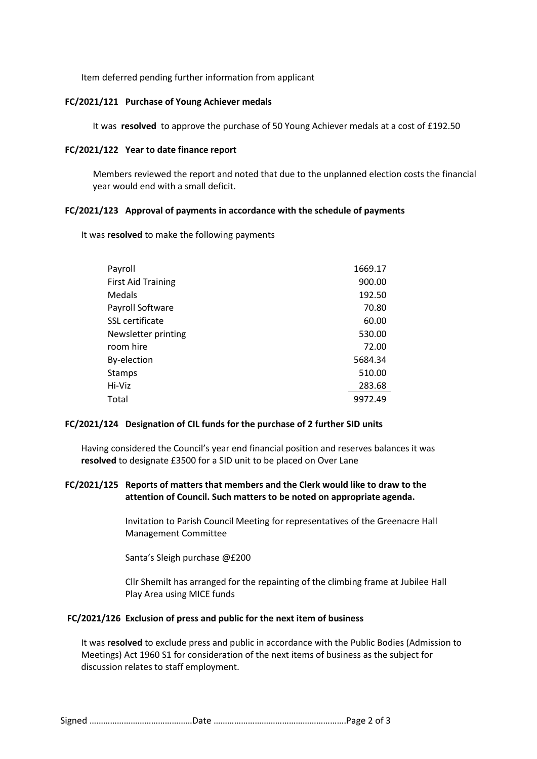Item deferred pending further information from applicant

#### **FC/2021/121 Purchase of Young Achiever medals**

It was **resolved** to approve the purchase of 50 Young Achiever medals at a cost of £192.50

#### **FC/2021/122 Year to date finance report**

Members reviewed the report and noted that due to the unplanned election costs the financial year would end with a small deficit.

#### **FC/2021/123 Approval of payments in accordance with the schedule of payments**

It was **resolved** to make the following payments

| Payroll                   | 1669.17 |
|---------------------------|---------|
| <b>First Aid Training</b> | 900.00  |
| Medals                    | 192.50  |
| Payroll Software          | 70.80   |
| SSL certificate           | 60.00   |
| Newsletter printing       | 530.00  |
| room hire                 | 72.00   |
| By-election               | 5684.34 |
| Stamps                    | 510.00  |
| Hi-Viz                    | 283.68  |
| Total                     | 9972.49 |

## **FC/2021/124 Designation of CIL funds for the purchase of 2 further SID units**

Having considered the Council's year end financial position and reserves balances it was **resolved** to designate £3500 for a SID unit to be placed on Over Lane

## **FC/2021/125 Reports of matters that members and the Clerk would like to draw to the attention of Council. Such matters to be noted on appropriate agenda.**

Invitation to Parish Council Meeting for representatives of the Greenacre Hall Management Committee

Santa's Sleigh purchase @£200

Cllr Shemilt has arranged for the repainting of the climbing frame at Jubilee Hall Play Area using MICE funds

#### **FC/2021/126 Exclusion of press and public for the next item of business**

It was **resolved** to exclude press and public in accordance with the Public Bodies (Admission to Meetings) Act 1960 S1 for consideration of the next items of business as the subject for discussion relates to staff employment.